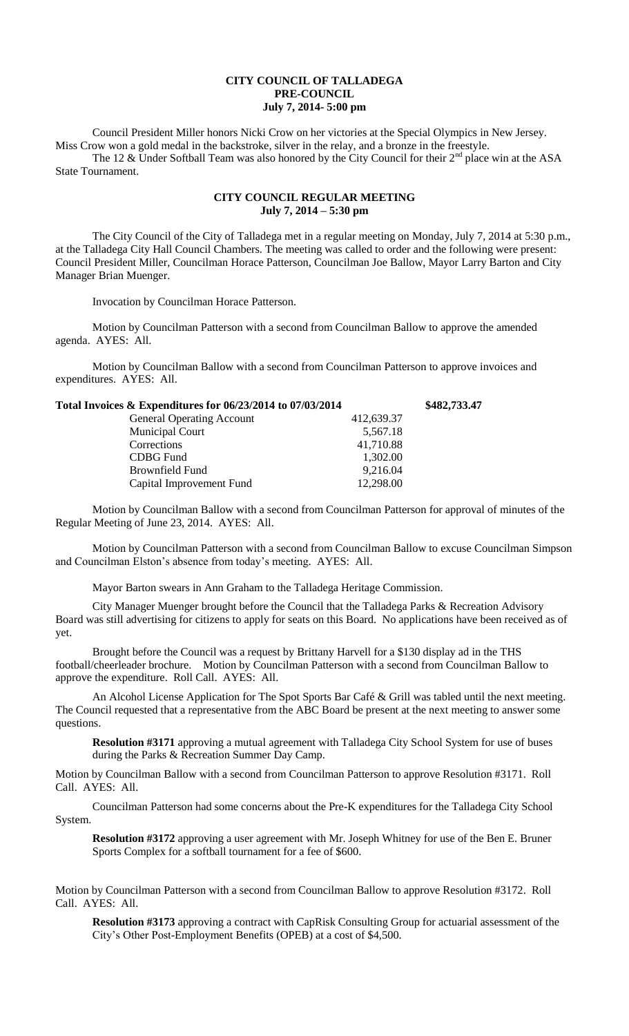## **CITY COUNCIL OF TALLADEGA PRE-COUNCIL July 7, 2014- 5:00 pm**

Council President Miller honors Nicki Crow on her victories at the Special Olympics in New Jersey. Miss Crow won a gold medal in the backstroke, silver in the relay, and a bronze in the freestyle.

The 12  $\&$  Under Softball Team was also honored by the City Council for their  $2^{nd}$  place win at the ASA State Tournament.

## **CITY COUNCIL REGULAR MEETING July 7, 2014 – 5:30 pm**

The City Council of the City of Talladega met in a regular meeting on Monday, July 7, 2014 at 5:30 p.m., at the Talladega City Hall Council Chambers. The meeting was called to order and the following were present: Council President Miller, Councilman Horace Patterson, Councilman Joe Ballow, Mayor Larry Barton and City Manager Brian Muenger.

Invocation by Councilman Horace Patterson.

Motion by Councilman Patterson with a second from Councilman Ballow to approve the amended agenda. AYES: All.

Motion by Councilman Ballow with a second from Councilman Patterson to approve invoices and expenditures. AYES: All.

| Total Invoices & Expenditures for 06/23/2014 to 07/03/2014 | \$482,733.47 |
|------------------------------------------------------------|--------------|
| 412,639.37                                                 |              |
| 5,567.18                                                   |              |
| 41,710.88                                                  |              |
| 1,302.00                                                   |              |
| 9,216.04                                                   |              |
| 12,298.00                                                  |              |
|                                                            |              |

Motion by Councilman Ballow with a second from Councilman Patterson for approval of minutes of the Regular Meeting of June 23, 2014. AYES: All.

Motion by Councilman Patterson with a second from Councilman Ballow to excuse Councilman Simpson and Councilman Elston's absence from today's meeting. AYES: All.

Mayor Barton swears in Ann Graham to the Talladega Heritage Commission.

City Manager Muenger brought before the Council that the Talladega Parks & Recreation Advisory Board was still advertising for citizens to apply for seats on this Board. No applications have been received as of yet.

Brought before the Council was a request by Brittany Harvell for a \$130 display ad in the THS football/cheerleader brochure. Motion by Councilman Patterson with a second from Councilman Ballow to approve the expenditure. Roll Call. AYES: All.

An Alcohol License Application for The Spot Sports Bar Café & Grill was tabled until the next meeting. The Council requested that a representative from the ABC Board be present at the next meeting to answer some questions.

**Resolution #3171** approving a mutual agreement with Talladega City School System for use of buses during the Parks & Recreation Summer Day Camp.

Motion by Councilman Ballow with a second from Councilman Patterson to approve Resolution #3171. Roll Call. AYES: All.

Councilman Patterson had some concerns about the Pre-K expenditures for the Talladega City School System.

**Resolution #3172** approving a user agreement with Mr. Joseph Whitney for use of the Ben E. Bruner Sports Complex for a softball tournament for a fee of \$600.

Motion by Councilman Patterson with a second from Councilman Ballow to approve Resolution #3172. Roll Call. AYES: All.

**Resolution #3173** approving a contract with CapRisk Consulting Group for actuarial assessment of the City's Other Post-Employment Benefits (OPEB) at a cost of \$4,500.